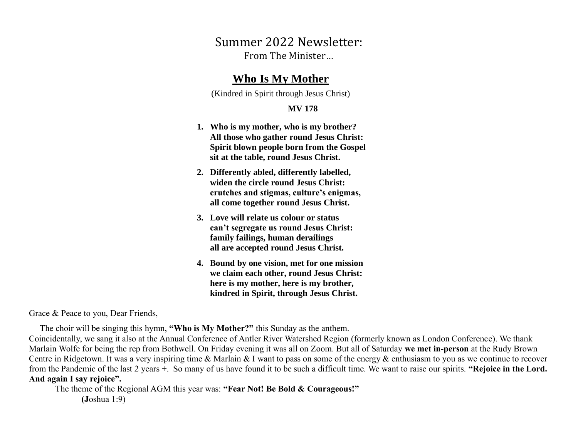Summer 2022 Newsletter: From The Minister…

## **Who Is My Mother**

(Kindred in Spirit through Jesus Christ)

## **MV 178**

- **1. Who is my mother, who is my brother? All those who gather round Jesus Christ: Spirit blown people born from the Gospel sit at the table, round Jesus Christ.**
- **2. Differently abled, differently labelled, widen the circle round Jesus Christ: crutches and stigmas, culture's enigmas, all come together round Jesus Christ.**
- **3. Love will relate us colour or status can't segregate us round Jesus Christ: family failings, human derailings all are accepted round Jesus Christ.**
- **4. Bound by one vision, met for one mission we claim each other, round Jesus Christ: here is my mother, here is my brother, kindred in Spirit, through Jesus Christ.**

Grace & Peace to you, Dear Friends, Ì

The choir will be singing this hymn, **"Who is My Mother?"** this Sunday as the anthem.

Coincidentally, we sang it also at the Annual Conference of Antler River Watershed Region (formerly known as London Conference). We thank Marlain Wolfe for being the rep from Bothwell. On Friday evening it was all on Zoom. But all of Saturday **we met in-person** at the Rudy Brown Centre in Ridgetown. It was a very inspiring time & Marlain & I want to pass on some of the energy & enthusiasm to you as we continue to recover from the Pandemic of the last 2 years +. So many of us have found it to be such a difficult time. We want to raise our spirits. **"Rejoice in the Lord. And again I say rejoice".**

The theme of the Regional AGM this year was: **"Fear Not! Be Bold & Courageous!" (J**oshua 1:9)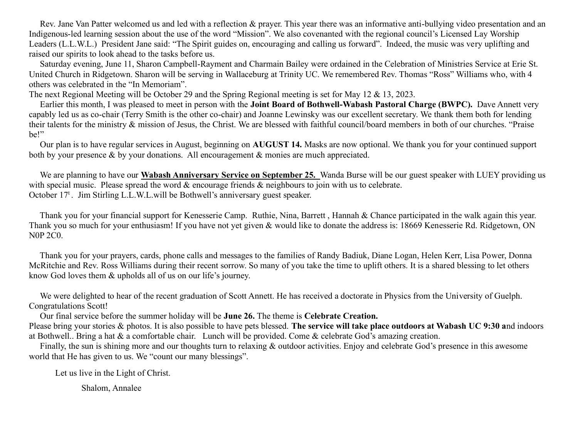Rev. Jane Van Patter welcomed us and led with a reflection & prayer. This year there was an informative anti-bullying video presentation and an Indigenous-led learning session about the use of the word "Mission". We also covenanted with the regional council's Licensed Lay Worship Leaders (L.L.W.L.) President Jane said: "The Spirit guides on, encouraging and calling us forward". Indeed, the music was very uplifting and raised our spirits to look ahead to the tasks before us.

 Saturday evening, June 11, Sharon Campbell-Rayment and Charmain Bailey were ordained in the Celebration of Ministries Service at Erie St. United Church in Ridgetown. Sharon will be serving in Wallaceburg at Trinity UC. We remembered Rev. Thomas "Ross" Williams who, with 4 others was celebrated in the "In Memoriam".

The next Regional Meeting will be October 29 and the Spring Regional meeting is set for May 12 & 13, 2023.

 Earlier this month, I was pleased to meet in person with the **Joint Board of Bothwell-Wabash Pastoral Charge (BWPC).** Dave Annett very capably led us as co-chair (Terry Smith is the other co-chair) and Joanne Lewinsky was our excellent secretary. We thank them both for lending their talents for the ministry & mission of Jesus, the Christ. We are blessed with faithful council/board members in both of our churches. "Praise be!"

 Our plan is to have regular services in August, beginning on **AUGUST 14.** Masks are now optional. We thank you for your continued support both by your presence & by your donations. All encouragement & monies are much appreciated.

 We are planning to have our **Wabash Anniversary Service on September 25.** Wanda Burse will be our guest speaker with LUEY providing us with special music. Please spread the word  $\&$  encourage friends  $\&$  neighbours to join with us to celebrate. October 17<sup>t</sup>. Jim Stirling L.L.W.L.will be Bothwell's anniversary guest speaker.

 Thank you for your financial support for Kenesserie Camp. Ruthie, Nina, Barrett , Hannah & Chance participated in the walk again this year. Thank you so much for your enthusiasm! If you have not yet given & would like to donate the address is: 18669 Kenesserie Rd. Ridgetown, ON N0P 2C0.

 Thank you for your prayers, cards, phone calls and messages to the families of Randy Badiuk, Diane Logan, Helen Kerr, Lisa Power, Donna McRitchie and Rev. Ross Williams during their recent sorrow. So many of you take the time to uplift others. It is a shared blessing to let others know God loves them & upholds all of us on our life's journey.

 We were delighted to hear of the recent graduation of Scott Annett. He has received a doctorate in Physics from the University of Guelph. Congratulations Scott!

Our final service before the summer holiday will be **June 26.** The theme is **Celebrate Creation.**

Please bring your stories & photos. It is also possible to have pets blessed. **The service will take place outdoors at Wabash UC 9:30 a**nd indoors at Bothwell.. Bring a hat & a comfortable chair. Lunch will be provided. Come & celebrate God's amazing creation.

 Finally, the sun is shining more and our thoughts turn to relaxing & outdoor activities. Enjoy and celebrate God's presence in this awesome world that He has given to us. We "count our many blessings".

Let us live in the Light of Christ.

Shalom, Annalee